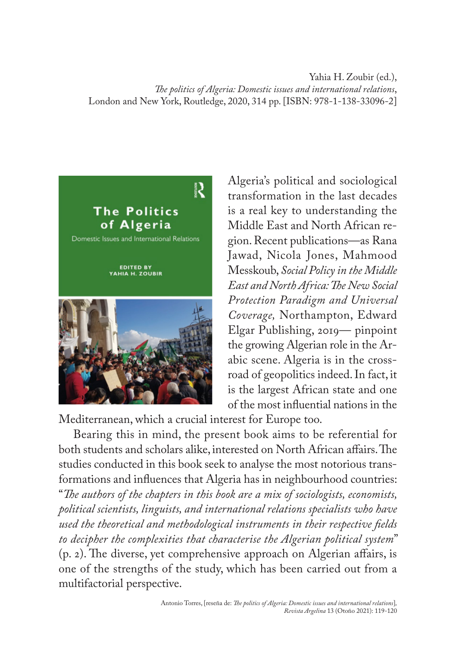Yahia H. Zoubir (ed.), *The politics of Algeria: Domestic issues and international relations*, London and New York, Routledge, 2020, 314 pp. [ISBN: 978-1-138-33096-2]



Algeria's political and sociological transformation in the last decades is a real key to understanding the Middle East and North African region. Recent publications—as Rana Jawad, Nicola Jones, Mahmood Messkoub, *Social Policy in the Middle East and North Africa: The New Social Protection Paradigm and Universal Coverage,* Northampton, Edward Elgar Publishing, 2019— pinpoint the growing Algerian role in the Arabic scene. Algeria is in the crossroad of geopolitics indeed. In fact, it is the largest African state and one of the most influential nations in the

Mediterranean, which a crucial interest for Europe too.

Bearing this in mind, the present book aims to be referential for both students and scholars alike, interested on North African affairs. The studies conducted in this book seek to analyse the most notorious transformations and influences that Algeria has in neighbourhood countries: "*The authors of the chapters in this book are a mix of sociologists, economists, political scientists, linguists, and international relations specialists who have used the theoretical and methodological instruments in their respective fields to decipher the complexities that characterise the Algerian political system*" (p. 2). The diverse, yet comprehensive approach on Algerian affairs, is one of the strengths of the study, which has been carried out from a multifactorial perspective.